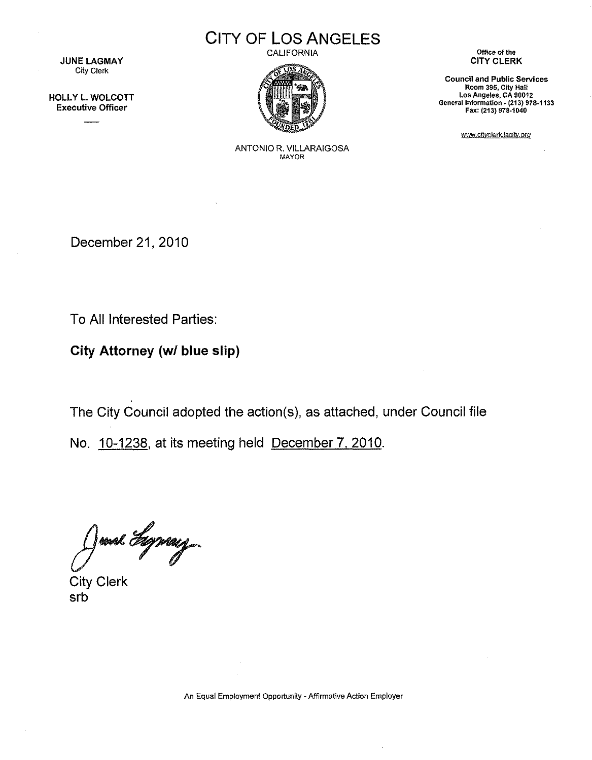**JUNE LAGMAY** City Clerk

HOLLY L. WOLCOTT Executive Officer

**CITY OF LOS ANGELES** 

CALIFORNIA



**Office of the**  CITY CLERK

**Council and Public Services Room 395, City Hall Los Angeles, CA 90012 General** Information~ **(213) 978-1133**  Fax: (213) 978·1040

www.citvclerk.lacity.org

ANTONIO R. VILLARAIGOSA MAYOR

December 21, 2010

To All Interested Parties:

**City Attorney (w/ blue slip)** 

The City Council adopted the action(s), as attached, under Council file

No. 10-1238, at its meeting held December 7. 2010.

June Syray

City Clerk srb

An Equal Employment Opportunity - Affirmative Action Employer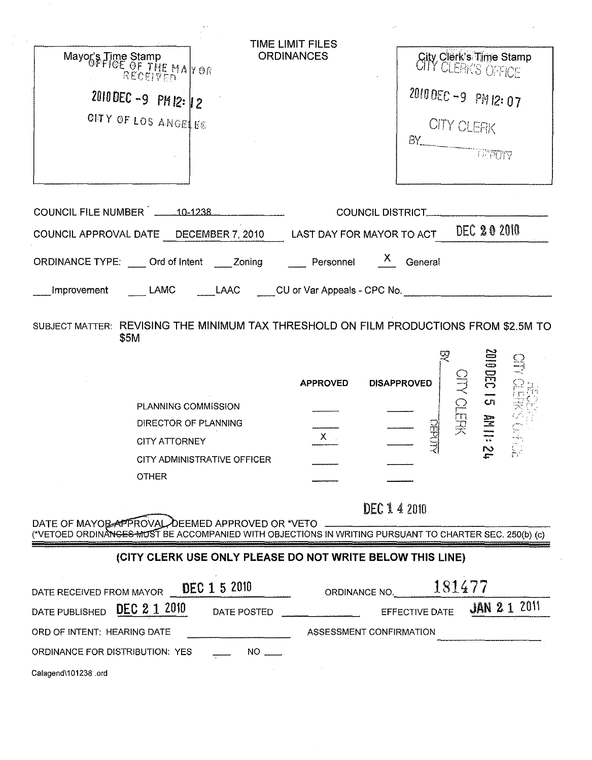| COUNCIL DISTRICT___________<br>COUNCIL APPROVAL DATE DECEMBER 7, 2010 LAST DAY FOR MAYOR TO ACT DEC 202010<br>ORDINANCE TYPE: ____ Ord of Intent ____ Zoning _____ Personnel ___ X__ General<br>LAMC ______LAAC _____CU or Var Appeals - CPC No. _______________________________<br>Improvement<br>SUBJECT MATTER: REVISING THE MINIMUM TAX THRESHOLD ON FILM PRODUCTIONS FROM \$2.5M TO<br>\$5M<br><b>21 330 000</b><br>DIRO NERK<br><b>APPROVED</b><br><b>DISAPPROVED</b><br>PLANNING COMMISSION<br>$\frac{1}{100}$<br>DEPUT<br>DIRECTOR OF PLANNING<br>$X -$<br>CITY ATTORNEY<br>-1<br>$\tilde{\mathbf{z}}$<br>$\frac{1}{k-1}$ .<br>CITY ADMINISTRATIVE OFFICER<br><b>OTHER</b><br>DEC 142010<br>DATE OF MAYOR APPROVAL, DEEMED APPROVED OR *VETO<br>(*VETOED ORDINANGES MUST BE ACCOMPANIED WITH OBJECTIONS IN WRITING PURSUANT TO CHARTER SEC. 250(b) (c)<br>(CITY CLERK USE ONLY PLEASE DO NOT WRITE BELOW THIS LINE)<br>181477<br>DEC 1 5 2010<br>ORDINANCE NO.<br><b>JAN 21 2011</b><br>DEC 2 1 2010<br>EFFECTIVE DATE<br>DATE POSTED<br>ASSESSMENT CONFIRMATION<br>$NO$ <sub>---</sub> | TIME LIMIT FILES<br><b>ORDINANCES</b><br>Mayor's Time Stamp<br>Mayor's Time Stamp<br>REOEIVEN<br>2010 DEC -9 PM 12: 12<br>ONY OF LOS ANGELES | <b>City Clerk's Time Stamp</b><br>2010 DEC -9 PM 12:07<br>CITY CLERK<br>$\begin{picture}(150,10) \put(0,0){\line(1,0){10}} \put(15,0){\line(1,0){10}} \put(15,0){\line(1,0){10}} \put(15,0){\line(1,0){10}} \put(15,0){\line(1,0){10}} \put(15,0){\line(1,0){10}} \put(15,0){\line(1,0){10}} \put(15,0){\line(1,0){10}} \put(15,0){\line(1,0){10}} \put(15,0){\line(1,0){10}} \put(15,0){\line(1,0){10}} \put(15,0){\line($ |
|-------------------------------------------------------------------------------------------------------------------------------------------------------------------------------------------------------------------------------------------------------------------------------------------------------------------------------------------------------------------------------------------------------------------------------------------------------------------------------------------------------------------------------------------------------------------------------------------------------------------------------------------------------------------------------------------------------------------------------------------------------------------------------------------------------------------------------------------------------------------------------------------------------------------------------------------------------------------------------------------------------------------------------------------------------------------------------------------------|----------------------------------------------------------------------------------------------------------------------------------------------|-----------------------------------------------------------------------------------------------------------------------------------------------------------------------------------------------------------------------------------------------------------------------------------------------------------------------------------------------------------------------------------------------------------------------------|
|                                                                                                                                                                                                                                                                                                                                                                                                                                                                                                                                                                                                                                                                                                                                                                                                                                                                                                                                                                                                                                                                                                 | COUNCIL FILE NUMBER 110-1238                                                                                                                 |                                                                                                                                                                                                                                                                                                                                                                                                                             |
|                                                                                                                                                                                                                                                                                                                                                                                                                                                                                                                                                                                                                                                                                                                                                                                                                                                                                                                                                                                                                                                                                                 |                                                                                                                                              |                                                                                                                                                                                                                                                                                                                                                                                                                             |
|                                                                                                                                                                                                                                                                                                                                                                                                                                                                                                                                                                                                                                                                                                                                                                                                                                                                                                                                                                                                                                                                                                 |                                                                                                                                              |                                                                                                                                                                                                                                                                                                                                                                                                                             |
|                                                                                                                                                                                                                                                                                                                                                                                                                                                                                                                                                                                                                                                                                                                                                                                                                                                                                                                                                                                                                                                                                                 |                                                                                                                                              |                                                                                                                                                                                                                                                                                                                                                                                                                             |
|                                                                                                                                                                                                                                                                                                                                                                                                                                                                                                                                                                                                                                                                                                                                                                                                                                                                                                                                                                                                                                                                                                 |                                                                                                                                              |                                                                                                                                                                                                                                                                                                                                                                                                                             |
|                                                                                                                                                                                                                                                                                                                                                                                                                                                                                                                                                                                                                                                                                                                                                                                                                                                                                                                                                                                                                                                                                                 |                                                                                                                                              |                                                                                                                                                                                                                                                                                                                                                                                                                             |
|                                                                                                                                                                                                                                                                                                                                                                                                                                                                                                                                                                                                                                                                                                                                                                                                                                                                                                                                                                                                                                                                                                 | DATE RECEIVED FROM MAYOR                                                                                                                     |                                                                                                                                                                                                                                                                                                                                                                                                                             |
|                                                                                                                                                                                                                                                                                                                                                                                                                                                                                                                                                                                                                                                                                                                                                                                                                                                                                                                                                                                                                                                                                                 | DATE PUBLISHED                                                                                                                               |                                                                                                                                                                                                                                                                                                                                                                                                                             |
|                                                                                                                                                                                                                                                                                                                                                                                                                                                                                                                                                                                                                                                                                                                                                                                                                                                                                                                                                                                                                                                                                                 | ORD OF INTENT: HEARING DATE                                                                                                                  |                                                                                                                                                                                                                                                                                                                                                                                                                             |
|                                                                                                                                                                                                                                                                                                                                                                                                                                                                                                                                                                                                                                                                                                                                                                                                                                                                                                                                                                                                                                                                                                 | ORDINANCE FOR DISTRIBUTION: YES<br>Calagend\101238.ord                                                                                       |                                                                                                                                                                                                                                                                                                                                                                                                                             |

 $\frac{1}{\sqrt{2}}\sum_{i=1}^{n} \frac{1}{\sqrt{2}}\left(\frac{1}{\sqrt{2}}\right)^2\left(\frac{1}{\sqrt{2}}\right)^2.$